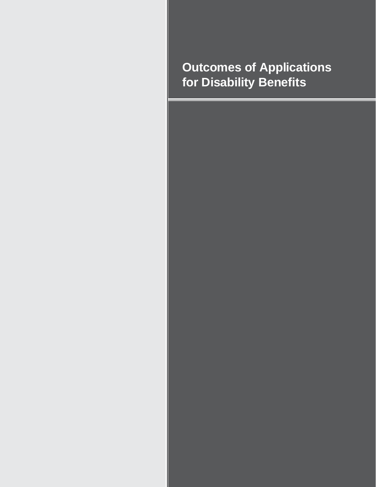# **Outcomes of Applications for Disability Benefits**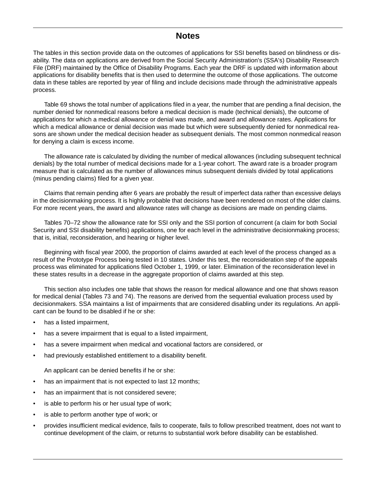## **Notes**

The tables in this section provide data on the outcomes of applications for SSI benefits based on blindness or disability. The data on applications are derived from the Social Security Administration's (SSA's) Disability Research File (DRF) maintained by the Office of Disability Programs. Each year the DRF is updated with information about applications for disability benefits that is then used to determine the outcome of those applications. The outcome data in these tables are reported by year of filing and include decisions made through the administrative appeals process.

Table 69 shows the total number of applications filed in a year, the number that are pending a final decision, the number denied for nonmedical reasons before a medical decision is made (technical denials), the outcome of applications for which a medical allowance or denial was made, and award and allowance rates. Applications for which a medical allowance or denial decision was made but which were subsequently denied for nonmedical reasons are shown under the medical decision header as subsequent denials. The most common nonmedical reason for denying a claim is excess income.

The allowance rate is calculated by dividing the number of medical allowances (including subsequent technical denials) by the total number of medical decisions made for a 1-year cohort. The award rate is a broader program measure that is calculated as the number of allowances minus subsequent denials divided by total applications (minus pending claims) filed for a given year.

Claims that remain pending after 6 years are probably the result of imperfect data rather than excessive delays in the decisionmaking process. It is highly probable that decisions have been rendered on most of the older claims. For more recent years, the award and allowance rates will change as decisions are made on pending claims.

Tables 70–72 show the allowance rate for SSI only and the SSI portion of concurrent (a claim for both Social Security and SSI disability benefits) applications, one for each level in the administrative decisionmaking process; that is, initial, reconsideration, and hearing or higher level.

Beginning with fiscal year 2000, the proportion of claims awarded at each level of the process changed as a result of the Prototype Process being tested in 10 states. Under this test, the reconsideration step of the appeals process was eliminated for applications filed October 1, 1999, or later. Elimination of the reconsideration level in these states results in a decrease in the aggregate proportion of claims awarded at this step.

This section also includes one table that shows the reason for medical allowance and one that shows reason for medical denial (Tables 73 and 74). The reasons are derived from the sequential evaluation process used by decisionmakers. SSA maintains a list of impairments that are considered disabling under its regulations. An applicant can be found to be disabled if he or she:

- has a listed impairment,
- has a severe impairment that is equal to a listed impairment,
- has a severe impairment when medical and vocational factors are considered, or
- had previously established entitlement to a disability benefit.

An applicant can be denied benefits if he or she:

- has an impairment that is not expected to last 12 months;
- has an impairment that is not considered severe;
- is able to perform his or her usual type of work;
- is able to perform another type of work; or
- provides insufficient medical evidence, fails to cooperate, fails to follow prescribed treatment, does not want to continue development of the claim, or returns to substantial work before disability can be established.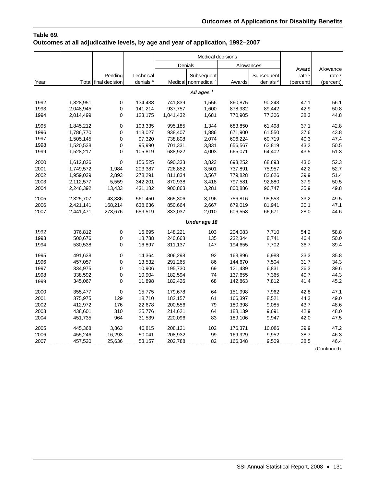## **Table 69. Outcomes at all adjudicative levels, by age and year of application, 1992–2007**

|      |           |                      |                      | Medical decisions |                                 |            |                      |                            |                                |
|------|-----------|----------------------|----------------------|-------------------|---------------------------------|------------|----------------------|----------------------------|--------------------------------|
|      |           |                      |                      | Denials           |                                 | Allowances |                      |                            |                                |
|      |           | Pending              | Technical            |                   | Subsequent                      |            | Subsequent           | Award<br>rate <sup>b</sup> | Allowance<br>rate <sup>c</sup> |
| Year |           | Total final decision | denials <sup>a</sup> |                   | Medical nonmedical <sup>d</sup> | Awards     | denials <sup>e</sup> | (percent)                  | (percent)                      |
|      |           |                      |                      |                   | All ages <sup>f</sup>           |            |                      |                            |                                |
|      |           |                      |                      |                   |                                 |            |                      |                            |                                |
| 1992 | 1,828,951 | 0                    | 134,438              | 741,839           | 1,556                           | 860,875    | 90,243               | 47.1                       | 56.1                           |
| 1993 | 2,048,945 | 0                    | 141,214              | 937,757           | 1,600                           | 878,932    | 89,442               | 42.9                       | 50.8                           |
| 1994 | 2,014,499 | 0                    | 123,175              | 1,041,432         | 1,681                           | 770,905    | 77,306               | 38.3                       | 44.8                           |
| 1995 | 1,845,212 | 0                    | 103,335              | 995,185           | 1,344                           | 683,850    | 61,498               | 37.1                       | 42.8                           |
| 1996 | 1,786,770 | 0                    | 113,027              | 938,407           | 1,886                           | 671,900    | 61,550               | 37.6                       | 43.8                           |
| 1997 | 1,505,145 | 0                    | 97,320               | 738,808           | 2,074                           | 606,224    | 60,719               | 40.3                       | 47.4                           |
| 1998 | 1,520,538 | 0                    | 95,990               | 701,331           | 3,831                           | 656,567    | 62,819               | 43.2                       | 50.5                           |
| 1999 | 1,528,217 | 0                    | 105,819              | 688,922           | 4,003                           | 665,071    | 64,402               | 43.5                       | 51.3                           |
| 2000 | 1,612,826 | 0                    | 156,525              | 690,333           | 3,823                           | 693,252    | 68,893               | 43.0                       | 52.3                           |
| 2001 | 1,749,572 | 1,984                | 203,387              | 726,852           | 3,501                           | 737,891    | 75,957               | 42.2                       | 52.7                           |
| 2002 | 1,959,039 | 2,893                | 278,291              | 811,834           | 3,567                           | 779,828    | 82,626               | 39.9                       | 51.4                           |
| 2003 | 2,112,577 | 5,559                | 342,201              | 870,938           | 3,418                           | 797,581    | 92,880               | 37.9                       | 50.5                           |
| 2004 | 2,246,392 | 13,433               | 431,182              | 900,863           | 3,281                           | 800,886    | 96,747               | 35.9                       | 49.8                           |
| 2005 | 2,325,707 | 43,386               | 561,450              | 865,306           | 3,196                           | 756,816    | 95,553               | 33.2                       | 49.5                           |
| 2006 | 2,421,141 | 168,214              | 638,636              | 850,664           | 2,667                           | 679,019    | 81,941               | 30.1                       | 47.1                           |
| 2007 | 2,441,471 | 273,676              | 659,519              | 833,037           | 2,010                           | 606,558    | 66,671               | 28.0                       | 44.6                           |
|      |           |                      |                      |                   | Under age 18                    |            |                      |                            |                                |
| 1992 | 376,812   | 0                    | 16,695               | 148,221           | 103                             | 204,083    | 7,710                | 54.2                       | 58.8                           |
| 1993 | 500,676   | 0                    | 18,788               | 240,668           | 135                             | 232,344    | 8,741                | 46.4                       | 50.0                           |
| 1994 | 530,538   | 0                    | 16,897               | 311,137           | 147                             | 194,655    | 7,702                | 36.7                       | 39.4                           |
| 1995 | 491,638   | 0                    | 14,364               | 306,298           | 92                              | 163,896    | 6,988                | 33.3                       | 35.8                           |
| 1996 | 457,057   | 0                    | 13,532               | 291,265           | 86                              | 144,670    | 7,504                | 31.7                       | 34.3                           |
| 1997 | 334,975   | 0                    | 10,906               | 195,730           | 69                              | 121,439    | 6,831                | 36.3                       | 39.6                           |
| 1998 | 338,592   | 0                    | 10,904               | 182,594           | 74                              | 137,655    | 7,365                | 40.7                       | 44.3                           |
| 1999 | 345,067   | 0                    | 11,898               | 182,426           | 68                              | 142,863    | 7,812                | 41.4                       | 45.2                           |
| 2000 | 355,477   | 0                    | 15,775               | 179,678           | 64                              | 151,998    | 7,962                | 42.8                       | 47.1                           |
| 2001 | 375,975   | 129                  | 18,710               | 182,157           | 61                              | 166,397    | 8,521                | 44.3                       | 49.0                           |
| 2002 | 412,972   | 176                  | 22,678               | 200,556           | 79                              | 180,398    | 9,085                | 43.7                       | 48.6                           |
| 2003 | 438,601   | 310                  | 25,776               | 214,621           | 64                              | 188,139    | 9,691                | 42.9                       | 48.0                           |
| 2004 | 451,735   | 964                  | 31,539               | 220,096           | 83                              | 189,106    | 9,947                | 42.0                       | 47.5                           |
| 2005 | 445,368   | 3,863                | 46,815               | 208,131           | 102                             | 176,371    | 10,086               | 39.9                       | 47.2                           |
| 2006 | 455,246   | 16,293               | 50,041               | 208,932           | 99                              | 169,929    | 9,952                | 38.7                       | 46.3                           |
| 2007 | 457,520   | 25,636               | 53,157               | 202,788           | 82                              | 166,348    | 9,509                | 38.5                       | 46.4                           |

(Continued)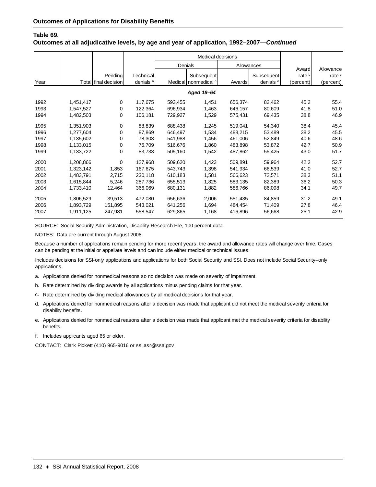#### **Table 69.**

#### **Outcomes at all adjudicative levels, by age and year of application, 1992–2007—***Continued*

|      |           |                      |                      |         | Medical decisions               |         |                      |                            |                                |
|------|-----------|----------------------|----------------------|---------|---------------------------------|---------|----------------------|----------------------------|--------------------------------|
|      |           |                      |                      | Denials |                                 |         | Allowances           |                            |                                |
|      |           | Pending              | Technical            |         | Subsequent                      |         | Subsequent           | Award<br>rate <sup>b</sup> | Allowance<br>rate <sup>c</sup> |
| Year |           | Total final decision | denials <sup>a</sup> |         | Medical nonmedical <sup>d</sup> | Awards  | denials <sup>e</sup> | (percent)                  | (percent)                      |
|      |           |                      |                      |         | Aged 18-64                      |         |                      |                            |                                |
| 1992 | 1,451,417 | 0                    | 117,675              | 593,455 | 1,451                           | 656,374 | 82,462               | 45.2                       | 55.4                           |
| 1993 | 1,547,527 | 0                    | 122,364              | 696,934 | 1,463                           | 646,157 | 80,609               | 41.8                       | 51.0                           |
| 1994 | 1,482,503 | 0                    | 106,181              | 729,927 | 1,529                           | 575,431 | 69,435               | 38.8                       | 46.9                           |
| 1995 | 1,351,903 | 0                    | 88,839               | 688,438 | 1,245                           | 519,041 | 54,340               | 38.4                       | 45.4                           |
| 1996 | 1,277,604 | 0                    | 87,869               | 646,497 | 1,534                           | 488,215 | 53,489               | 38.2                       | 45.5                           |
| 1997 | 1,135,602 | 0                    | 78,303               | 541,988 | 1,456                           | 461,006 | 52,849               | 40.6                       | 48.6                           |
| 1998 | 1,133,015 | 0                    | 76,709               | 516,676 | 1,860                           | 483,898 | 53,872               | 42.7                       | 50.9                           |
| 1999 | 1,133,722 | 0                    | 83,733               | 505,160 | 1,542                           | 487,862 | 55,425               | 43.0                       | 51.7                           |
| 2000 | 1,208,866 | 0                    | 127,968              | 509,620 | 1,423                           | 509,891 | 59,964               | 42.2                       | 52.7                           |
| 2001 | 1,323,142 | 1,853                | 167,675              | 543,743 | 1,398                           | 541,934 | 66,539               | 41.0                       | 52.7                           |
| 2002 | 1,483,791 | 2,715                | 230,118              | 610,183 | 1,581                           | 566,623 | 72,571               | 38.3                       | 51.1                           |
| 2003 | 1,615,844 | 5,246                | 287,736              | 655,513 | 1,825                           | 583,135 | 82,389               | 36.2                       | 50.3                           |
| 2004 | 1,733,410 | 12,464               | 366,069              | 680,131 | 1,882                           | 586.766 | 86,098               | 34.1                       | 49.7                           |
| 2005 | 1,806,529 | 39,513               | 472,080              | 656,636 | 2,006                           | 551,435 | 84,859               | 31.2                       | 49.1                           |
| 2006 | 1,893,729 | 151,895              | 543,021              | 641,256 | 1,694                           | 484,454 | 71,409               | 27.8                       | 46.4                           |
| 2007 | 1,911,125 | 247,981              | 558.547              | 629.865 | 1,168                           | 416,896 | 56,668               | 25.1                       | 42.9                           |

SOURCE: Social Security Administration, Disability Research File, 100 percent data.

NOTES: Data are current through August 2008.

Because a number of applications remain pending for more recent years, the award and allowance rates will change over time. Cases can be pending at the initial or appellate levels and can include either medical or technical issues.

Includes decisions for SSI-only applications and applications for both Social Security and SSI. Does not include Social Security–only applications.

- a. Applications denied for nonmedical reasons so no decision was made on severity of impairment.
- b. Rate determined by dividing awards by all applications minus pending claims for that year.
- c. Rate determined by dividing medical allowances by all medical decisions for that year.
- d. Applications denied for nonmedical reasons after a decision was made that applicant did not meet the medical severity criteria for disability benefits.
- e. Applications denied for nonmedical reasons after a decision was made that applicant met the medical severity criteria for disability benefits.
- f. Includes applicants aged 65 or older.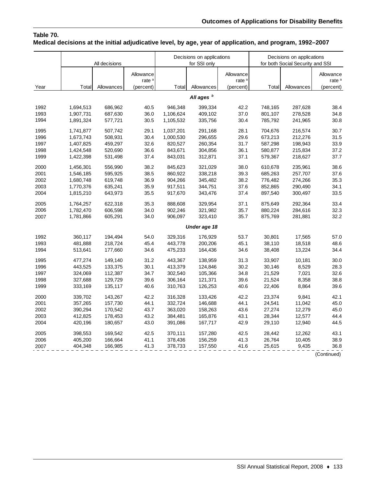## **Table 70. Medical decisions at the initial adjudicative level, by age, year of application, and program, 1992–2007**

|      |                        | All decisions      |                                             |                      | Decisions on applications<br>for SSI only |                                             |                    | Decisions on applications<br>for both Social Security and SSI |                                             |
|------|------------------------|--------------------|---------------------------------------------|----------------------|-------------------------------------------|---------------------------------------------|--------------------|---------------------------------------------------------------|---------------------------------------------|
| Year | Total                  | Allowances         | Allowance<br>rate <sup>a</sup><br>(percent) | Total                | Allowances                                | Allowance<br>rate <sup>a</sup><br>(percent) | Total              | Allowances                                                    | Allowance<br>rate <sup>a</sup><br>(percent) |
|      |                        |                    |                                             |                      | All ages <sup>b</sup>                     |                                             |                    |                                                               |                                             |
| 1992 |                        |                    |                                             |                      |                                           | 42.2                                        |                    |                                                               |                                             |
| 1993 | 1,694,513<br>1,907,731 | 686,962<br>687,630 | 40.5<br>36.0                                | 946,348<br>1,106,624 | 399,334<br>409,102                        | 37.0                                        | 748,165<br>801,107 | 287,628<br>278,528                                            | 38.4<br>34.8                                |
| 1994 | 1,891,324              | 577,721            | 30.5                                        | 1,105,532            | 335,756                                   | 30.4                                        | 785,792            | 241,965                                                       | 30.8                                        |
|      |                        |                    |                                             |                      |                                           |                                             |                    |                                                               |                                             |
| 1995 | 1,741,877              | 507,742            | 29.1                                        | 1,037,201            | 291,168                                   | 28.1                                        | 704,676            | 216,574                                                       | 30.7                                        |
| 1996 | 1,673,743              | 508,931            | 30.4                                        | 1,000,530            | 296,655                                   | 29.6                                        | 673,213            | 212,276                                                       | 31.5                                        |
| 1997 | 1,407,825              | 459,297            | 32.6                                        | 820,527              | 260,354                                   | 31.7                                        | 587,298            | 198,943                                                       | 33.9                                        |
| 1998 | 1,424,548              | 520,690            | 36.6                                        | 843,671              | 304,856                                   | 36.1                                        | 580,877            | 215,834                                                       | 37.2                                        |
| 1999 | 1,422,398              | 531,498            | 37.4                                        | 843,031              | 312,871                                   | 37.1                                        | 579,367            | 218,627                                                       | 37.7                                        |
| 2000 | 1,456,301              | 556,990            | 38.2                                        | 845,623              | 321,029                                   | 38.0                                        | 610,678            | 235,961                                                       | 38.6                                        |
| 2001 | 1,546,185              | 595,925            | 38.5                                        | 860,922              | 338,218                                   | 39.3                                        | 685,263            | 257,707                                                       | 37.6                                        |
| 2002 | 1,680,748              | 619,748            | 36.9                                        | 904,266              | 345,482                                   | 38.2                                        | 776,482            | 274,266                                                       | 35.3                                        |
| 2003 | 1,770,376              | 635,241            | 35.9                                        | 917,511              | 344,751                                   | 37.6                                        | 852,865            | 290,490                                                       | 34.1                                        |
| 2004 | 1,815,210              | 643,973            | 35.5                                        | 917,670              | 343,476                                   | 37.4                                        | 897,540            | 300,497                                                       | 33.5                                        |
| 2005 | 1,764,257              | 622,318            | 35.3                                        | 888,608              | 329,954                                   | 37.1                                        | 875,649            | 292,364                                                       | 33.4                                        |
| 2006 | 1,782,470              | 606,598            | 34.0                                        | 902,246              | 321,982                                   | 35.7                                        | 880,224            | 284,616                                                       | 32.3                                        |
| 2007 | 1,781,866              | 605,291            | 34.0                                        | 906,097              | 323,410                                   | 35.7                                        | 875,769            | 281,881                                                       | 32.2                                        |
|      |                        |                    |                                             |                      | Under age 18                              |                                             |                    |                                                               |                                             |
| 1992 | 360,117                | 194,494            | 54.0                                        | 329,316              | 176,929                                   | 53.7                                        | 30,801             | 17,565                                                        | 57.0                                        |
| 1993 | 481,888                | 218,724            | 45.4                                        | 443,778              | 200,206                                   | 45.1                                        | 38,110             | 18,518                                                        | 48.6                                        |
| 1994 | 513,641                | 177,660            | 34.6                                        | 475,233              | 164,436                                   | 34.6                                        | 38,408             | 13,224                                                        | 34.4                                        |
| 1995 | 477,274                | 149,140            | 31.2                                        | 443,367              | 138,959                                   | 31.3                                        | 33,907             | 10,181                                                        | 30.0                                        |
| 1996 | 443,525                | 133,375            | 30.1                                        | 413,379              | 124,846                                   | 30.2                                        | 30,146             | 8,529                                                         | 28.3                                        |
| 1997 | 324,069                | 112,387            | 34.7                                        | 302,540              | 105,366                                   | 34.8                                        | 21,529             | 7,021                                                         | 32.6                                        |
| 1998 | 327,688                | 129,729            | 39.6                                        | 306,164              | 121,371                                   | 39.6                                        | 21,524             | 8,358                                                         | 38.8                                        |
| 1999 | 333,169                | 135,117            | 40.6                                        | 310,763              | 126,253                                   | 40.6                                        | 22,406             | 8,864                                                         | 39.6                                        |
| 2000 | 339,702                | 143,267            | 42.2                                        | 316,328              | 133,426                                   | 42.2                                        | 23,374             | 9,841                                                         | 42.1                                        |
| 2001 | 357,265                | 157,730            | 44.1                                        | 332,724              | 146,688                                   | 44.1                                        | 24,541             | 11,042                                                        | 45.0                                        |
| 2002 | 390,294                | 170,542            | 43.7                                        | 363,020              | 158,263                                   | 43.6                                        | 27,274             | 12,279                                                        | 45.0                                        |
| 2003 | 412,825                | 178,453            | 43.2                                        | 384,481              | 165,876                                   | 43.1                                        | 28,344             | 12,577                                                        | 44.4                                        |
| 2004 | 420,196                | 180,657            | 43.0                                        | 391,086              | 167,717                                   | 42.9                                        | 29,110             | 12,940                                                        | 44.5                                        |
| 2005 | 398,553                | 169,542            | 42.5                                        | 370,111              | 157,280                                   | 42.5                                        | 28,442             | 12,262                                                        | 43.1                                        |
| 2006 | 405,200                | 166,664            | 41.1                                        | 378,436              | 156,259                                   | 41.3                                        | 26,764             | 10,405                                                        | 38.9                                        |
| 2007 | 404,348                | 166,985            | 41.3                                        | 378,733              | 157,550                                   | 41.6                                        | 25,615             | 9,435                                                         | 36.8                                        |
|      |                        |                    |                                             |                      |                                           |                                             |                    |                                                               | (Continued)                                 |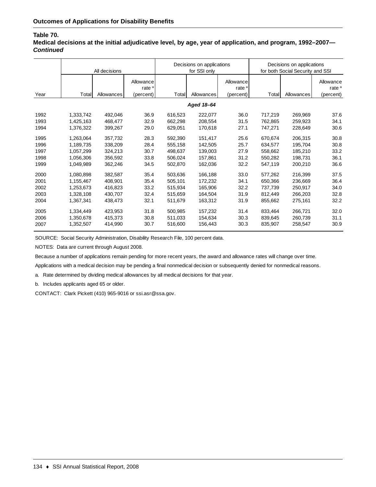## **Table 70.**

**Medical decisions at the initial adjudicative level, by age, year of application, and program, 1992–2007—** *Continued*

|      |            | All decisions |                                             |         | Decisions on applications<br>for SSI only |                                             | Decisions on applications<br>for both Social Security and SSI |            |                                             |  |
|------|------------|---------------|---------------------------------------------|---------|-------------------------------------------|---------------------------------------------|---------------------------------------------------------------|------------|---------------------------------------------|--|
| Year | Total      | Allowances    | Allowance<br>rate <sup>a</sup><br>(percent) | Total   | Allowances                                | Allowance<br>rate <sup>a</sup><br>(percent) | Total                                                         | Allowances | Allowance<br>rate <sup>a</sup><br>(percent) |  |
|      |            |               |                                             |         |                                           |                                             |                                                               |            |                                             |  |
|      | Aged 18-64 |               |                                             |         |                                           |                                             |                                                               |            |                                             |  |
| 1992 | 1,333,742  | 492.046       | 36.9                                        | 616.523 | 222,077                                   | 36.0                                        | 717,219                                                       | 269,969    | 37.6                                        |  |
| 1993 | 1,425,163  | 468.477       | 32.9                                        | 662,298 | 208,554                                   | 31.5                                        | 762.865                                                       | 259,923    | 34.1                                        |  |
| 1994 | 1.376.322  | 399.267       | 29.0                                        | 629.051 | 170.618                                   | 27.1                                        | 747,271                                                       | 228.649    | 30.6                                        |  |
| 1995 | 1,263,064  | 357,732       | 28.3                                        | 592,390 | 151,417                                   | 25.6                                        | 670,674                                                       | 206,315    | 30.8                                        |  |
| 1996 | 1,189,735  | 338,209       | 28.4                                        | 555.158 | 142,505                                   | 25.7                                        | 634,577                                                       | 195,704    | 30.8                                        |  |
| 1997 | 1,057,299  | 324,213       | 30.7                                        | 498.637 | 139,003                                   | 27.9                                        | 558,662                                                       | 185,210    | 33.2                                        |  |
| 1998 | 1.056.306  | 356,592       | 33.8                                        | 506,024 | 157.861                                   | 31.2                                        | 550.282                                                       | 198,731    | 36.1                                        |  |
| 1999 | 1.049.989  | 362,246       | 34.5                                        | 502,870 | 162,036                                   | 32.2                                        | 547,119                                                       | 200.210    | 36.6                                        |  |
| 2000 | 1,080,898  | 382,587       | 35.4                                        | 503,636 | 166,188                                   | 33.0                                        | 577.262                                                       | 216,399    | 37.5                                        |  |
| 2001 | 1,155,467  | 408,901       | 35.4                                        | 505,101 | 172,232                                   | 34.1                                        | 650,366                                                       | 236,669    | 36.4                                        |  |
| 2002 | 1.253.673  | 416,823       | 33.2                                        | 515,934 | 165.906                                   | 32.2                                        | 737,739                                                       | 250,917    | 34.0                                        |  |
| 2003 | 1,328,108  | 430,707       | 32.4                                        | 515,659 | 164,504                                   | 31.9                                        | 812,449                                                       | 266,203    | 32.8                                        |  |
| 2004 | 1,367,341  | 438,473       | 32.1                                        | 511,679 | 163,312                                   | 31.9                                        | 855,662                                                       | 275,161    | 32.2                                        |  |
| 2005 | 1,334,449  | 423.953       | 31.8                                        | 500.985 | 157,232                                   | 31.4                                        | 833,464                                                       | 266,721    | 32.0                                        |  |
| 2006 | 1,350,678  | 415,373       | 30.8                                        | 511,033 | 154.634                                   | 30.3                                        | 839,645                                                       | 260,739    | 31.1                                        |  |
| 2007 | 1,352,507  | 414,990       | 30.7                                        | 516,600 | 156,443                                   | 30.3                                        | 835,907                                                       | 258,547    | 30.9                                        |  |

SOURCE: Social Security Administration, Disability Research File, 100 percent data.

NOTES: Data are current through August 2008.

Because a number of applications remain pending for more recent years, the award and allowance rates will change over time.

Applications with a medical decision may be pending a final nonmedical decision or subsequently denied for nonmedical reasons.

a. Rate determined by dividing medical allowances by all medical decisions for that year.

b. Includes applicants aged 65 or older.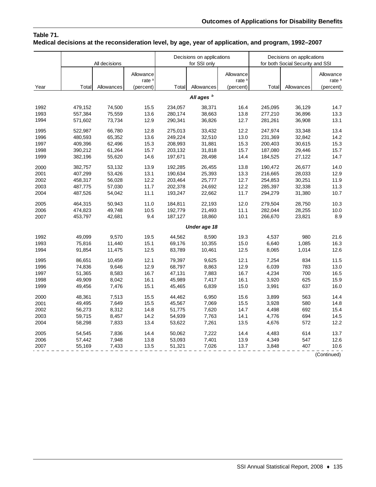## **Table 71. Medical decisions at the reconsideration level, by age, year of application, and program, 1992–2007**

|      |         | All decisions |                                |         | Decisions on applications<br>for SSI only |                                | Decisions on applications<br>for both Social Security and SSI |            |                                |
|------|---------|---------------|--------------------------------|---------|-------------------------------------------|--------------------------------|---------------------------------------------------------------|------------|--------------------------------|
|      |         |               | Allowance<br>rate <sup>a</sup> |         |                                           | Allowance<br>rate <sup>a</sup> |                                                               |            | Allowance<br>rate <sup>a</sup> |
| Year | Total   | Allowances    | (percent)                      | Total   | Allowances                                | (percent)                      | Total                                                         | Allowances | (percent)                      |
|      |         |               |                                |         | All ages <sup>b</sup>                     |                                |                                                               |            |                                |
| 1992 | 479,152 | 74,500        | 15.5                           | 234,057 | 38,371                                    | 16.4                           | 245,095                                                       | 36,129     | 14.7                           |
| 1993 | 557,384 | 75,559        | 13.6                           | 280,174 | 38,663                                    | 13.8                           | 277,210                                                       | 36,896     | 13.3                           |
| 1994 | 571,602 | 73,734        | 12.9                           | 290,341 | 36,826                                    | 12.7                           | 281,261                                                       | 36,908     | 13.1                           |
| 1995 | 522,987 | 66,780        | 12.8                           | 275,013 | 33,432                                    | 12.2                           | 247,974                                                       | 33,348     | 13.4                           |
| 1996 | 480,593 | 65,352        | 13.6                           | 249,224 | 32,510                                    | 13.0                           | 231,369                                                       | 32,842     | 14.2                           |
| 1997 | 409,396 | 62,496        | 15.3                           | 208,993 | 31,881                                    | 15.3                           | 200,403                                                       | 30,615     | 15.3                           |
| 1998 | 390,212 | 61,264        | 15.7                           | 203,132 | 31,818                                    | 15.7                           | 187,080                                                       | 29,446     | 15.7                           |
| 1999 | 382,196 | 55,620        | 14.6                           | 197,671 | 28,498                                    | 14.4                           | 184,525                                                       | 27,122     | 14.7                           |
| 2000 | 382,757 | 53,132        | 13.9                           | 192,285 | 26,455                                    | 13.8                           | 190,472                                                       | 26,677     | 14.0                           |
| 2001 | 407,299 | 53,426        | 13.1                           | 190,634 | 25,393                                    | 13.3                           | 216,665                                                       | 28,033     | 12.9                           |
| 2002 | 458,317 | 56,028        | 12.2                           | 203,464 | 25,777                                    | 12.7                           | 254,853                                                       | 30,251     | 11.9                           |
| 2003 | 487,775 | 57,030        | 11.7                           | 202,378 | 24,692                                    | 12.2                           | 285,397                                                       | 32,338     | 11.3                           |
| 2004 | 487,526 | 54,042        | 11.1                           | 193,247 | 22,662                                    | 11.7                           | 294,279                                                       | 31,380     | 10.7                           |
| 2005 | 464,315 | 50,943        | 11.0                           | 184,811 | 22,193                                    | 12.0                           | 279,504                                                       | 28,750     | 10.3                           |
| 2006 | 474,823 | 49,748        | 10.5                           | 192,779 | 21,493                                    | 11.1                           | 282,044                                                       | 28,255     | 10.0                           |
| 2007 | 453,797 | 42,681        | 9.4                            | 187,127 | 18,860                                    | 10.1                           | 266,670                                                       | 23,821     | 8.9                            |
|      |         |               |                                |         | Under age 18                              |                                |                                                               |            |                                |
| 1992 | 49,099  | 9,570         | 19.5                           | 44,562  | 8,590                                     | 19.3                           | 4,537                                                         | 980        | 21.6                           |
| 1993 | 75,816  | 11,440        | 15.1                           | 69,176  | 10,355                                    | 15.0                           | 6,640                                                         | 1,085      | 16.3                           |
| 1994 | 91,854  | 11,475        | 12.5                           | 83,789  | 10,461                                    | 12.5                           | 8,065                                                         | 1,014      | 12.6                           |
| 1995 | 86,651  | 10,459        | 12.1                           | 79,397  | 9,625                                     | 12.1                           | 7,254                                                         | 834        | 11.5                           |
| 1996 | 74,836  | 9,646         | 12.9                           | 68,797  | 8,863                                     | 12.9                           | 6,039                                                         | 783        | 13.0                           |
| 1997 | 51,365  | 8,583         | 16.7                           | 47,131  | 7,883                                     | 16.7                           | 4,234                                                         | 700        | 16.5                           |
| 1998 | 49,909  | 8,042         | 16.1                           | 45,989  | 7,417                                     | 16.1                           | 3,920                                                         | 625        | 15.9                           |
| 1999 | 49,456  | 7,476         | 15.1                           | 45,465  | 6,839                                     | 15.0                           | 3,991                                                         | 637        | 16.0                           |
| 2000 | 48,361  | 7,513         | 15.5                           | 44,462  | 6,950                                     | 15.6                           | 3,899                                                         | 563        | 14.4                           |
| 2001 | 49,495  | 7,649         | 15.5                           | 45,567  | 7,069                                     | 15.5                           | 3,928                                                         | 580        | 14.8                           |
| 2002 | 56,273  | 8,312         | 14.8                           | 51,775  | 7,620                                     | 14.7                           | 4,498                                                         | 692        | 15.4                           |
| 2003 | 59,715  | 8,457         | 14.2                           | 54,939  | 7,763                                     | 14.1                           | 4,776                                                         | 694        | 14.5                           |
| 2004 | 58,298  | 7,833         | 13.4                           | 53,622  | 7,261                                     | 13.5                           | 4,676                                                         | 572        | 12.2                           |
| 2005 | 54,545  | 7,836         | 14.4                           | 50,062  | 7,222                                     | 14.4                           | 4,483                                                         | 614        | 13.7                           |
| 2006 | 57,442  | 7,948         | 13.8                           | 53,093  | 7,401                                     | 13.9                           | 4,349                                                         | 547        | 12.6                           |
| 2007 | 55,169  | 7,433         | 13.5                           | 51,321  | 7,026                                     | 13.7                           | 3,848                                                         | 407        | 10.6                           |
|      |         |               |                                |         |                                           |                                |                                                               |            | (Continued)                    |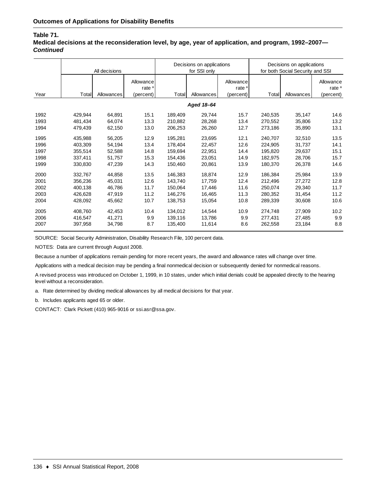#### **Table 71.**

**Medical decisions at the reconsideration level, by age, year of application, and program, 1992–2007—** *Continued*

|      |            | All decisions |                                             |         | Decisions on applications<br>for SSI only |                                             | Decisions on applications<br>for both Social Security and SSI |            |                                             |  |
|------|------------|---------------|---------------------------------------------|---------|-------------------------------------------|---------------------------------------------|---------------------------------------------------------------|------------|---------------------------------------------|--|
| Year | Total      | Allowances    | Allowance<br>rate <sup>a</sup><br>(percent) | Total   | Allowances                                | Allowance<br>rate <sup>a</sup><br>(percent) | Total                                                         | Allowances | Allowance<br>rate <sup>a</sup><br>(percent) |  |
|      |            |               |                                             |         |                                           |                                             |                                                               |            |                                             |  |
|      | Aged 18-64 |               |                                             |         |                                           |                                             |                                                               |            |                                             |  |
| 1992 | 429.944    | 64,891        | 15.1                                        | 189,409 | 29,744                                    | 15.7                                        | 240,535                                                       | 35,147     | 14.6                                        |  |
| 1993 | 481,434    | 64,074        | 13.3                                        | 210,882 | 28,268                                    | 13.4                                        | 270.552                                                       | 35,806     | 13.2                                        |  |
| 1994 | 479,439    | 62,150        | 13.0                                        | 206,253 | 26,260                                    | 12.7                                        | 273,186                                                       | 35,890     | 13.1                                        |  |
| 1995 | 435.988    | 56,205        | 12.9                                        | 195,281 | 23,695                                    | 12.1                                        | 240,707                                                       | 32,510     | 13.5                                        |  |
| 1996 | 403,309    | 54,194        | 13.4                                        | 178,404 | 22,457                                    | 12.6                                        | 224.905                                                       | 31,737     | 14.1                                        |  |
| 1997 | 355,514    | 52,588        | 14.8                                        | 159,694 | 22,951                                    | 14.4                                        | 195,820                                                       | 29,637     | 15.1                                        |  |
| 1998 | 337,411    | 51,757        | 15.3                                        | 154,436 | 23,051                                    | 14.9                                        | 182,975                                                       | 28,706     | 15.7                                        |  |
| 1999 | 330,830    | 47,239        | 14.3                                        | 150,460 | 20,861                                    | 13.9                                        | 180,370                                                       | 26,378     | 14.6                                        |  |
| 2000 | 332.767    | 44,858        | 13.5                                        | 146,383 | 18,874                                    | 12.9                                        | 186,384                                                       | 25,984     | 13.9                                        |  |
| 2001 | 356,236    | 45,031        | 12.6                                        | 143,740 | 17,759                                    | 12.4                                        | 212,496                                                       | 27,272     | 12.8                                        |  |
| 2002 | 400,138    | 46,786        | 11.7                                        | 150,064 | 17,446                                    | 11.6                                        | 250,074                                                       | 29,340     | 11.7                                        |  |
| 2003 | 426,628    | 47,919        | 11.2                                        | 146,276 | 16,465                                    | 11.3                                        | 280,352                                                       | 31,454     | 11.2                                        |  |
| 2004 | 428,092    | 45,662        | 10.7                                        | 138,753 | 15,054                                    | 10.8                                        | 289,339                                                       | 30,608     | 10.6                                        |  |
| 2005 | 408.760    | 42,453        | 10.4                                        | 134,012 | 14,544                                    | 10.9                                        | 274,748                                                       | 27,909     | 10.2                                        |  |
| 2006 | 416,547    | 41,271        | 9.9                                         | 139,116 | 13,786                                    | 9.9                                         | 277,431                                                       | 27,485     | 9.9                                         |  |
| 2007 | 397,958    | 34,798        | 8.7                                         | 135,400 | 11,614                                    | 8.6                                         | 262,558                                                       | 23,184     | 8.8                                         |  |

SOURCE: Social Security Administration, Disability Research File, 100 percent data.

NOTES: Data are current through August 2008.

Because a number of applications remain pending for more recent years, the award and allowance rates will change over time.

Applications with a medical decision may be pending a final nonmedical decision or subsequently denied for nonmedical reasons.

A revised process was introduced on October 1, 1999, in 10 states, under which initial denials could be appealed directly to the hearing level without a reconsideration.

a. Rate determined by dividing medical allowances by all medical decisions for that year.

b. Includes applicants aged 65 or older.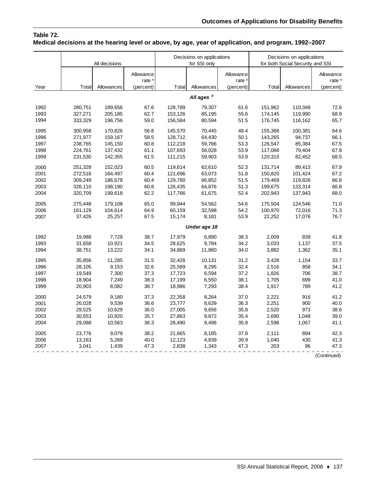## **Table 72. Medical decisions at the hearing level or above, by age, year of application, and program, 1992–2007**

| Allowance<br>Allowance<br>Allowance<br>rate <sup>a</sup><br>rate <sup>a</sup><br>rate <sup>a</sup><br>Year<br>Total<br>Allowances<br>Total<br>Allowances<br>(percent)<br>Allowances<br>(percent)<br>Total<br>(percent)<br>All ages <sup>b</sup><br>110,349<br>1992<br>280,751<br>189,656<br>67.6<br>128,789<br>79,307<br>61.6<br>151,962<br>72.6<br>68.9<br>1993<br>327,271<br>205,185<br>62.7<br>153,126<br>85,195<br>55.6<br>174,145<br>119,990<br>1994<br>333,329<br>59.0<br>156,584<br>80,594<br>51.5<br>176,745<br>116,162<br>65.7<br>196,756<br>1995<br>300.958<br>170,826<br>56.8<br>145.570<br>70.445<br>48.4<br>155.388<br>100.381<br>64.6<br>1996<br>271,977<br>159,167<br>58.5<br>128,712<br>64,430<br>50.1<br>143,265<br>94,737<br>66.1<br>1997<br>60.8<br>53.3<br>67.5<br>238,765<br>145,150<br>112,218<br>59,766<br>126,547<br>85,384<br>1998<br>224,761<br>137,432<br>61.1<br>107,693<br>58,028<br>53.9<br>117,068<br>79,404<br>67.8<br>1999<br>231,530<br>142,355<br>61.5<br>111,215<br>59,903<br>53.9<br>120,315<br>82,452<br>68.5<br>52.3<br>67.9<br>2000<br>251,328<br>152,023<br>60.5<br>119,614<br>62,610<br>131,714<br>89,413<br>2001<br>272,516<br>164,497<br>60.4<br>121,696<br>63,073<br>51.8<br>150,820<br>101,424<br>67.2<br>60.4<br>129,780<br>66,852<br>51.5<br>66.8<br>2002<br>309,249<br>186,678<br>179,469<br>119,826<br>64,876<br>66.8<br>326,110<br>198,190<br>60.8<br>126,435<br>51.3<br>199,675<br>133,314<br>2003<br>62.2<br>117,766<br>61,675<br>52.4<br>137,943<br>68.0<br>2004<br>320,709<br>199,618<br>202,943<br>65.0<br>99,944<br>71.0<br>2005<br>275,448<br>179,108<br>54,562<br>54.6<br>175,504<br>124,546<br>71.3<br>2006<br>161,129<br>104,614<br>64.9<br>60,159<br>32,598<br>54.2<br>100,970<br>72,016<br>2007<br>37,426<br>25,257<br>67.5<br>15,174<br>8,181<br>53.9<br>22,252<br>17,076<br>76.7<br>Under age 18<br>19,988<br>7,729<br>6.890<br>1992<br>38.7<br>17,979<br>38.3<br>2,009<br>839<br>41.8<br>1,137<br>31,658<br>10,921<br>34.5<br>28,625<br>9,784<br>34.2<br>3,033<br>37.5<br>1993<br>13,222<br>3,882<br>1,362<br>35.1<br>38,751<br>34.1<br>34,869<br>11,860<br>34.0<br>1994<br>35,856<br>11,285<br>31.5<br>32,428<br>10,131<br>31.2<br>1,154<br>33.7<br>1995<br>3,428<br>9,153<br>32.6<br>25,589<br>8,295<br>32.4<br>2,516<br>34.1<br>1996<br>28,105<br>858<br>7,300<br>37.3<br>17,723<br>37.2<br>1,826<br>706<br>38.7<br>1997<br>19,549<br>6,594<br>1,705<br>41.0<br>18,904<br>7,249<br>38.3<br>17,199<br>6,550<br>38.1<br>699<br>1998<br>8,082<br>38.7<br>18,986<br>38.4<br>1,917<br>789<br>41.2<br>1999<br>20,903<br>7,293<br>24,579<br>9,180<br>37.3<br>22,358<br>8,264<br>37.0<br>2,221<br>916<br>41.2<br>2000<br>26,028<br>9,539<br>36.6<br>23,777<br>8,639<br>36.3<br>2,251<br>900<br>40.0<br>2001<br>10,629<br>973<br>2002<br>29,525<br>36.0<br>27,005<br>9,656<br>35.8<br>2,520<br>38.6<br>2003<br>30,553<br>10,920<br>35.7<br>27,863<br>9,872<br>35.4<br>2,690<br>1,048<br>39.0<br>10,563<br>36.3<br>35.8<br>1,067<br>41.1<br>2004<br>29,088<br>26,490<br>9,496<br>2,598<br>2005<br>23.776<br>9,079<br>38.2<br>21,665<br>8,185<br>37.8<br>2,111<br>894<br>42.3<br>2006<br>13,163<br>5,269<br>40.0<br>12,123<br>4,839<br>39.9<br>1,040<br>430<br>41.3<br>3,041<br>1,439<br>203<br>96<br>2007<br>47.3<br>2,838<br>1,343<br>47.3<br>47.3 |  | All decisions |  |  | Decisions on applications<br>for SSI only | Decisions on applications<br>for both Social Security and SSI |  |  |
|----------------------------------------------------------------------------------------------------------------------------------------------------------------------------------------------------------------------------------------------------------------------------------------------------------------------------------------------------------------------------------------------------------------------------------------------------------------------------------------------------------------------------------------------------------------------------------------------------------------------------------------------------------------------------------------------------------------------------------------------------------------------------------------------------------------------------------------------------------------------------------------------------------------------------------------------------------------------------------------------------------------------------------------------------------------------------------------------------------------------------------------------------------------------------------------------------------------------------------------------------------------------------------------------------------------------------------------------------------------------------------------------------------------------------------------------------------------------------------------------------------------------------------------------------------------------------------------------------------------------------------------------------------------------------------------------------------------------------------------------------------------------------------------------------------------------------------------------------------------------------------------------------------------------------------------------------------------------------------------------------------------------------------------------------------------------------------------------------------------------------------------------------------------------------------------------------------------------------------------------------------------------------------------------------------------------------------------------------------------------------------------------------------------------------------------------------------------------------------------------------------------------------------------------------------------------------------------------------------------------------------------------------------------------------------------------------------------------------------------------------------------------------------------------------------------------------------------------------------------------------------------------------------------------------------------------------------------------------------------------------------------------------------------------------------------------------------------------------------------------------------------------------------------------------------------------------------------------------------------------------------------------------------------------------------------|--|---------------|--|--|-------------------------------------------|---------------------------------------------------------------|--|--|
|                                                                                                                                                                                                                                                                                                                                                                                                                                                                                                                                                                                                                                                                                                                                                                                                                                                                                                                                                                                                                                                                                                                                                                                                                                                                                                                                                                                                                                                                                                                                                                                                                                                                                                                                                                                                                                                                                                                                                                                                                                                                                                                                                                                                                                                                                                                                                                                                                                                                                                                                                                                                                                                                                                                                                                                                                                                                                                                                                                                                                                                                                                                                                                                                                                                                                                                |  |               |  |  |                                           |                                                               |  |  |
|                                                                                                                                                                                                                                                                                                                                                                                                                                                                                                                                                                                                                                                                                                                                                                                                                                                                                                                                                                                                                                                                                                                                                                                                                                                                                                                                                                                                                                                                                                                                                                                                                                                                                                                                                                                                                                                                                                                                                                                                                                                                                                                                                                                                                                                                                                                                                                                                                                                                                                                                                                                                                                                                                                                                                                                                                                                                                                                                                                                                                                                                                                                                                                                                                                                                                                                |  |               |  |  |                                           |                                                               |  |  |
|                                                                                                                                                                                                                                                                                                                                                                                                                                                                                                                                                                                                                                                                                                                                                                                                                                                                                                                                                                                                                                                                                                                                                                                                                                                                                                                                                                                                                                                                                                                                                                                                                                                                                                                                                                                                                                                                                                                                                                                                                                                                                                                                                                                                                                                                                                                                                                                                                                                                                                                                                                                                                                                                                                                                                                                                                                                                                                                                                                                                                                                                                                                                                                                                                                                                                                                |  |               |  |  |                                           |                                                               |  |  |
|                                                                                                                                                                                                                                                                                                                                                                                                                                                                                                                                                                                                                                                                                                                                                                                                                                                                                                                                                                                                                                                                                                                                                                                                                                                                                                                                                                                                                                                                                                                                                                                                                                                                                                                                                                                                                                                                                                                                                                                                                                                                                                                                                                                                                                                                                                                                                                                                                                                                                                                                                                                                                                                                                                                                                                                                                                                                                                                                                                                                                                                                                                                                                                                                                                                                                                                |  |               |  |  |                                           |                                                               |  |  |
|                                                                                                                                                                                                                                                                                                                                                                                                                                                                                                                                                                                                                                                                                                                                                                                                                                                                                                                                                                                                                                                                                                                                                                                                                                                                                                                                                                                                                                                                                                                                                                                                                                                                                                                                                                                                                                                                                                                                                                                                                                                                                                                                                                                                                                                                                                                                                                                                                                                                                                                                                                                                                                                                                                                                                                                                                                                                                                                                                                                                                                                                                                                                                                                                                                                                                                                |  |               |  |  |                                           |                                                               |  |  |
|                                                                                                                                                                                                                                                                                                                                                                                                                                                                                                                                                                                                                                                                                                                                                                                                                                                                                                                                                                                                                                                                                                                                                                                                                                                                                                                                                                                                                                                                                                                                                                                                                                                                                                                                                                                                                                                                                                                                                                                                                                                                                                                                                                                                                                                                                                                                                                                                                                                                                                                                                                                                                                                                                                                                                                                                                                                                                                                                                                                                                                                                                                                                                                                                                                                                                                                |  |               |  |  |                                           |                                                               |  |  |
|                                                                                                                                                                                                                                                                                                                                                                                                                                                                                                                                                                                                                                                                                                                                                                                                                                                                                                                                                                                                                                                                                                                                                                                                                                                                                                                                                                                                                                                                                                                                                                                                                                                                                                                                                                                                                                                                                                                                                                                                                                                                                                                                                                                                                                                                                                                                                                                                                                                                                                                                                                                                                                                                                                                                                                                                                                                                                                                                                                                                                                                                                                                                                                                                                                                                                                                |  |               |  |  |                                           |                                                               |  |  |
|                                                                                                                                                                                                                                                                                                                                                                                                                                                                                                                                                                                                                                                                                                                                                                                                                                                                                                                                                                                                                                                                                                                                                                                                                                                                                                                                                                                                                                                                                                                                                                                                                                                                                                                                                                                                                                                                                                                                                                                                                                                                                                                                                                                                                                                                                                                                                                                                                                                                                                                                                                                                                                                                                                                                                                                                                                                                                                                                                                                                                                                                                                                                                                                                                                                                                                                |  |               |  |  |                                           |                                                               |  |  |
|                                                                                                                                                                                                                                                                                                                                                                                                                                                                                                                                                                                                                                                                                                                                                                                                                                                                                                                                                                                                                                                                                                                                                                                                                                                                                                                                                                                                                                                                                                                                                                                                                                                                                                                                                                                                                                                                                                                                                                                                                                                                                                                                                                                                                                                                                                                                                                                                                                                                                                                                                                                                                                                                                                                                                                                                                                                                                                                                                                                                                                                                                                                                                                                                                                                                                                                |  |               |  |  |                                           |                                                               |  |  |
|                                                                                                                                                                                                                                                                                                                                                                                                                                                                                                                                                                                                                                                                                                                                                                                                                                                                                                                                                                                                                                                                                                                                                                                                                                                                                                                                                                                                                                                                                                                                                                                                                                                                                                                                                                                                                                                                                                                                                                                                                                                                                                                                                                                                                                                                                                                                                                                                                                                                                                                                                                                                                                                                                                                                                                                                                                                                                                                                                                                                                                                                                                                                                                                                                                                                                                                |  |               |  |  |                                           |                                                               |  |  |
|                                                                                                                                                                                                                                                                                                                                                                                                                                                                                                                                                                                                                                                                                                                                                                                                                                                                                                                                                                                                                                                                                                                                                                                                                                                                                                                                                                                                                                                                                                                                                                                                                                                                                                                                                                                                                                                                                                                                                                                                                                                                                                                                                                                                                                                                                                                                                                                                                                                                                                                                                                                                                                                                                                                                                                                                                                                                                                                                                                                                                                                                                                                                                                                                                                                                                                                |  |               |  |  |                                           |                                                               |  |  |
|                                                                                                                                                                                                                                                                                                                                                                                                                                                                                                                                                                                                                                                                                                                                                                                                                                                                                                                                                                                                                                                                                                                                                                                                                                                                                                                                                                                                                                                                                                                                                                                                                                                                                                                                                                                                                                                                                                                                                                                                                                                                                                                                                                                                                                                                                                                                                                                                                                                                                                                                                                                                                                                                                                                                                                                                                                                                                                                                                                                                                                                                                                                                                                                                                                                                                                                |  |               |  |  |                                           |                                                               |  |  |
|                                                                                                                                                                                                                                                                                                                                                                                                                                                                                                                                                                                                                                                                                                                                                                                                                                                                                                                                                                                                                                                                                                                                                                                                                                                                                                                                                                                                                                                                                                                                                                                                                                                                                                                                                                                                                                                                                                                                                                                                                                                                                                                                                                                                                                                                                                                                                                                                                                                                                                                                                                                                                                                                                                                                                                                                                                                                                                                                                                                                                                                                                                                                                                                                                                                                                                                |  |               |  |  |                                           |                                                               |  |  |
|                                                                                                                                                                                                                                                                                                                                                                                                                                                                                                                                                                                                                                                                                                                                                                                                                                                                                                                                                                                                                                                                                                                                                                                                                                                                                                                                                                                                                                                                                                                                                                                                                                                                                                                                                                                                                                                                                                                                                                                                                                                                                                                                                                                                                                                                                                                                                                                                                                                                                                                                                                                                                                                                                                                                                                                                                                                                                                                                                                                                                                                                                                                                                                                                                                                                                                                |  |               |  |  |                                           |                                                               |  |  |
|                                                                                                                                                                                                                                                                                                                                                                                                                                                                                                                                                                                                                                                                                                                                                                                                                                                                                                                                                                                                                                                                                                                                                                                                                                                                                                                                                                                                                                                                                                                                                                                                                                                                                                                                                                                                                                                                                                                                                                                                                                                                                                                                                                                                                                                                                                                                                                                                                                                                                                                                                                                                                                                                                                                                                                                                                                                                                                                                                                                                                                                                                                                                                                                                                                                                                                                |  |               |  |  |                                           |                                                               |  |  |
|                                                                                                                                                                                                                                                                                                                                                                                                                                                                                                                                                                                                                                                                                                                                                                                                                                                                                                                                                                                                                                                                                                                                                                                                                                                                                                                                                                                                                                                                                                                                                                                                                                                                                                                                                                                                                                                                                                                                                                                                                                                                                                                                                                                                                                                                                                                                                                                                                                                                                                                                                                                                                                                                                                                                                                                                                                                                                                                                                                                                                                                                                                                                                                                                                                                                                                                |  |               |  |  |                                           |                                                               |  |  |
|                                                                                                                                                                                                                                                                                                                                                                                                                                                                                                                                                                                                                                                                                                                                                                                                                                                                                                                                                                                                                                                                                                                                                                                                                                                                                                                                                                                                                                                                                                                                                                                                                                                                                                                                                                                                                                                                                                                                                                                                                                                                                                                                                                                                                                                                                                                                                                                                                                                                                                                                                                                                                                                                                                                                                                                                                                                                                                                                                                                                                                                                                                                                                                                                                                                                                                                |  |               |  |  |                                           |                                                               |  |  |
|                                                                                                                                                                                                                                                                                                                                                                                                                                                                                                                                                                                                                                                                                                                                                                                                                                                                                                                                                                                                                                                                                                                                                                                                                                                                                                                                                                                                                                                                                                                                                                                                                                                                                                                                                                                                                                                                                                                                                                                                                                                                                                                                                                                                                                                                                                                                                                                                                                                                                                                                                                                                                                                                                                                                                                                                                                                                                                                                                                                                                                                                                                                                                                                                                                                                                                                |  |               |  |  |                                           |                                                               |  |  |
|                                                                                                                                                                                                                                                                                                                                                                                                                                                                                                                                                                                                                                                                                                                                                                                                                                                                                                                                                                                                                                                                                                                                                                                                                                                                                                                                                                                                                                                                                                                                                                                                                                                                                                                                                                                                                                                                                                                                                                                                                                                                                                                                                                                                                                                                                                                                                                                                                                                                                                                                                                                                                                                                                                                                                                                                                                                                                                                                                                                                                                                                                                                                                                                                                                                                                                                |  |               |  |  |                                           |                                                               |  |  |
|                                                                                                                                                                                                                                                                                                                                                                                                                                                                                                                                                                                                                                                                                                                                                                                                                                                                                                                                                                                                                                                                                                                                                                                                                                                                                                                                                                                                                                                                                                                                                                                                                                                                                                                                                                                                                                                                                                                                                                                                                                                                                                                                                                                                                                                                                                                                                                                                                                                                                                                                                                                                                                                                                                                                                                                                                                                                                                                                                                                                                                                                                                                                                                                                                                                                                                                |  |               |  |  |                                           |                                                               |  |  |
|                                                                                                                                                                                                                                                                                                                                                                                                                                                                                                                                                                                                                                                                                                                                                                                                                                                                                                                                                                                                                                                                                                                                                                                                                                                                                                                                                                                                                                                                                                                                                                                                                                                                                                                                                                                                                                                                                                                                                                                                                                                                                                                                                                                                                                                                                                                                                                                                                                                                                                                                                                                                                                                                                                                                                                                                                                                                                                                                                                                                                                                                                                                                                                                                                                                                                                                |  |               |  |  |                                           |                                                               |  |  |
|                                                                                                                                                                                                                                                                                                                                                                                                                                                                                                                                                                                                                                                                                                                                                                                                                                                                                                                                                                                                                                                                                                                                                                                                                                                                                                                                                                                                                                                                                                                                                                                                                                                                                                                                                                                                                                                                                                                                                                                                                                                                                                                                                                                                                                                                                                                                                                                                                                                                                                                                                                                                                                                                                                                                                                                                                                                                                                                                                                                                                                                                                                                                                                                                                                                                                                                |  |               |  |  |                                           |                                                               |  |  |
|                                                                                                                                                                                                                                                                                                                                                                                                                                                                                                                                                                                                                                                                                                                                                                                                                                                                                                                                                                                                                                                                                                                                                                                                                                                                                                                                                                                                                                                                                                                                                                                                                                                                                                                                                                                                                                                                                                                                                                                                                                                                                                                                                                                                                                                                                                                                                                                                                                                                                                                                                                                                                                                                                                                                                                                                                                                                                                                                                                                                                                                                                                                                                                                                                                                                                                                |  |               |  |  |                                           |                                                               |  |  |
|                                                                                                                                                                                                                                                                                                                                                                                                                                                                                                                                                                                                                                                                                                                                                                                                                                                                                                                                                                                                                                                                                                                                                                                                                                                                                                                                                                                                                                                                                                                                                                                                                                                                                                                                                                                                                                                                                                                                                                                                                                                                                                                                                                                                                                                                                                                                                                                                                                                                                                                                                                                                                                                                                                                                                                                                                                                                                                                                                                                                                                                                                                                                                                                                                                                                                                                |  |               |  |  |                                           |                                                               |  |  |
|                                                                                                                                                                                                                                                                                                                                                                                                                                                                                                                                                                                                                                                                                                                                                                                                                                                                                                                                                                                                                                                                                                                                                                                                                                                                                                                                                                                                                                                                                                                                                                                                                                                                                                                                                                                                                                                                                                                                                                                                                                                                                                                                                                                                                                                                                                                                                                                                                                                                                                                                                                                                                                                                                                                                                                                                                                                                                                                                                                                                                                                                                                                                                                                                                                                                                                                |  |               |  |  |                                           |                                                               |  |  |
|                                                                                                                                                                                                                                                                                                                                                                                                                                                                                                                                                                                                                                                                                                                                                                                                                                                                                                                                                                                                                                                                                                                                                                                                                                                                                                                                                                                                                                                                                                                                                                                                                                                                                                                                                                                                                                                                                                                                                                                                                                                                                                                                                                                                                                                                                                                                                                                                                                                                                                                                                                                                                                                                                                                                                                                                                                                                                                                                                                                                                                                                                                                                                                                                                                                                                                                |  |               |  |  |                                           |                                                               |  |  |
|                                                                                                                                                                                                                                                                                                                                                                                                                                                                                                                                                                                                                                                                                                                                                                                                                                                                                                                                                                                                                                                                                                                                                                                                                                                                                                                                                                                                                                                                                                                                                                                                                                                                                                                                                                                                                                                                                                                                                                                                                                                                                                                                                                                                                                                                                                                                                                                                                                                                                                                                                                                                                                                                                                                                                                                                                                                                                                                                                                                                                                                                                                                                                                                                                                                                                                                |  |               |  |  |                                           |                                                               |  |  |
|                                                                                                                                                                                                                                                                                                                                                                                                                                                                                                                                                                                                                                                                                                                                                                                                                                                                                                                                                                                                                                                                                                                                                                                                                                                                                                                                                                                                                                                                                                                                                                                                                                                                                                                                                                                                                                                                                                                                                                                                                                                                                                                                                                                                                                                                                                                                                                                                                                                                                                                                                                                                                                                                                                                                                                                                                                                                                                                                                                                                                                                                                                                                                                                                                                                                                                                |  |               |  |  |                                           |                                                               |  |  |
|                                                                                                                                                                                                                                                                                                                                                                                                                                                                                                                                                                                                                                                                                                                                                                                                                                                                                                                                                                                                                                                                                                                                                                                                                                                                                                                                                                                                                                                                                                                                                                                                                                                                                                                                                                                                                                                                                                                                                                                                                                                                                                                                                                                                                                                                                                                                                                                                                                                                                                                                                                                                                                                                                                                                                                                                                                                                                                                                                                                                                                                                                                                                                                                                                                                                                                                |  |               |  |  |                                           |                                                               |  |  |
|                                                                                                                                                                                                                                                                                                                                                                                                                                                                                                                                                                                                                                                                                                                                                                                                                                                                                                                                                                                                                                                                                                                                                                                                                                                                                                                                                                                                                                                                                                                                                                                                                                                                                                                                                                                                                                                                                                                                                                                                                                                                                                                                                                                                                                                                                                                                                                                                                                                                                                                                                                                                                                                                                                                                                                                                                                                                                                                                                                                                                                                                                                                                                                                                                                                                                                                |  |               |  |  |                                           |                                                               |  |  |
|                                                                                                                                                                                                                                                                                                                                                                                                                                                                                                                                                                                                                                                                                                                                                                                                                                                                                                                                                                                                                                                                                                                                                                                                                                                                                                                                                                                                                                                                                                                                                                                                                                                                                                                                                                                                                                                                                                                                                                                                                                                                                                                                                                                                                                                                                                                                                                                                                                                                                                                                                                                                                                                                                                                                                                                                                                                                                                                                                                                                                                                                                                                                                                                                                                                                                                                |  |               |  |  |                                           |                                                               |  |  |
|                                                                                                                                                                                                                                                                                                                                                                                                                                                                                                                                                                                                                                                                                                                                                                                                                                                                                                                                                                                                                                                                                                                                                                                                                                                                                                                                                                                                                                                                                                                                                                                                                                                                                                                                                                                                                                                                                                                                                                                                                                                                                                                                                                                                                                                                                                                                                                                                                                                                                                                                                                                                                                                                                                                                                                                                                                                                                                                                                                                                                                                                                                                                                                                                                                                                                                                |  |               |  |  |                                           |                                                               |  |  |
|                                                                                                                                                                                                                                                                                                                                                                                                                                                                                                                                                                                                                                                                                                                                                                                                                                                                                                                                                                                                                                                                                                                                                                                                                                                                                                                                                                                                                                                                                                                                                                                                                                                                                                                                                                                                                                                                                                                                                                                                                                                                                                                                                                                                                                                                                                                                                                                                                                                                                                                                                                                                                                                                                                                                                                                                                                                                                                                                                                                                                                                                                                                                                                                                                                                                                                                |  |               |  |  |                                           |                                                               |  |  |
|                                                                                                                                                                                                                                                                                                                                                                                                                                                                                                                                                                                                                                                                                                                                                                                                                                                                                                                                                                                                                                                                                                                                                                                                                                                                                                                                                                                                                                                                                                                                                                                                                                                                                                                                                                                                                                                                                                                                                                                                                                                                                                                                                                                                                                                                                                                                                                                                                                                                                                                                                                                                                                                                                                                                                                                                                                                                                                                                                                                                                                                                                                                                                                                                                                                                                                                |  |               |  |  |                                           |                                                               |  |  |
|                                                                                                                                                                                                                                                                                                                                                                                                                                                                                                                                                                                                                                                                                                                                                                                                                                                                                                                                                                                                                                                                                                                                                                                                                                                                                                                                                                                                                                                                                                                                                                                                                                                                                                                                                                                                                                                                                                                                                                                                                                                                                                                                                                                                                                                                                                                                                                                                                                                                                                                                                                                                                                                                                                                                                                                                                                                                                                                                                                                                                                                                                                                                                                                                                                                                                                                |  |               |  |  |                                           |                                                               |  |  |
|                                                                                                                                                                                                                                                                                                                                                                                                                                                                                                                                                                                                                                                                                                                                                                                                                                                                                                                                                                                                                                                                                                                                                                                                                                                                                                                                                                                                                                                                                                                                                                                                                                                                                                                                                                                                                                                                                                                                                                                                                                                                                                                                                                                                                                                                                                                                                                                                                                                                                                                                                                                                                                                                                                                                                                                                                                                                                                                                                                                                                                                                                                                                                                                                                                                                                                                |  |               |  |  |                                           |                                                               |  |  |

(Continued)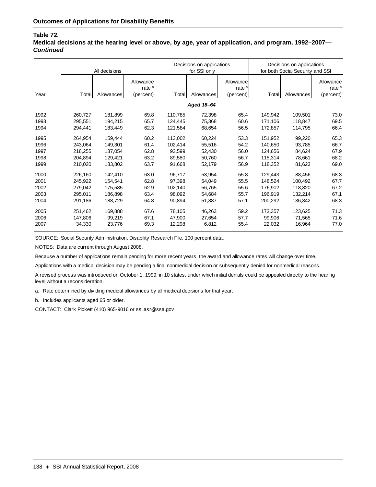#### **Table 72.**

**Medical decisions at the hearing level or above, by age, year of application, and program, 1992–2007—** *Continued*

|      |         | All decisions |                                             |         | Decisions on applications<br>for SSI only |                                             | Decisions on applications<br>for both Social Security and SSI |            |                                             |
|------|---------|---------------|---------------------------------------------|---------|-------------------------------------------|---------------------------------------------|---------------------------------------------------------------|------------|---------------------------------------------|
| Year | Total   | Allowances    | Allowance<br>rate <sup>a</sup><br>(percent) | Total   | Allowances                                | Allowance<br>rate <sup>a</sup><br>(percent) | Total                                                         | Allowances | Allowance<br>rate <sup>a</sup><br>(percent) |
|      |         |               |                                             |         | Aged 18-64                                |                                             |                                                               |            |                                             |
|      |         |               |                                             |         |                                           |                                             |                                                               |            |                                             |
| 1992 | 260,727 | 181,899       | 69.8                                        | 110.785 | 72,398                                    | 65.4                                        | 149.942                                                       | 109,501    | 73.0                                        |
| 1993 | 295.551 | 194,215       | 65.7                                        | 124,445 | 75,368                                    | 60.6                                        | 171,106                                                       | 118,847    | 69.5                                        |
| 1994 | 294.441 | 183,449       | 62.3                                        | 121.584 | 68,654                                    | 56.5                                        | 172,857                                                       | 114,795    | 66.4                                        |
| 1995 | 264,954 | 159,444       | 60.2                                        | 113,002 | 60,224                                    | 53.3                                        | 151,952                                                       | 99,220     | 65.3                                        |
| 1996 | 243,064 | 149,301       | 61.4                                        | 102,414 | 55,516                                    | 54.2                                        | 140,650                                                       | 93,785     | 66.7                                        |
| 1997 | 218,255 | 137,054       | 62.8                                        | 93,599  | 52,430                                    | 56.0                                        | 124,656                                                       | 84,624     | 67.9                                        |
| 1998 | 204,894 | 129,421       | 63.2                                        | 89,580  | 50,760                                    | 56.7                                        | 115,314                                                       | 78,661     | 68.2                                        |
| 1999 | 210,020 | 133,802       | 63.7                                        | 91,668  | 52,179                                    | 56.9                                        | 118,352                                                       | 81,623     | 69.0                                        |
| 2000 | 226,160 | 142,410       | 63.0                                        | 96.717  | 53,954                                    | 55.8                                        | 129.443                                                       | 88,456     | 68.3                                        |
| 2001 | 245,922 | 154,541       | 62.8                                        | 97,398  | 54,049                                    | 55.5                                        | 148.524                                                       | 100,492    | 67.7                                        |
| 2002 | 279,042 | 175,585       | 62.9                                        | 102,140 | 56,765                                    | 55.6                                        | 176,902                                                       | 118,820    | 67.2                                        |
| 2003 | 295,011 | 186,898       | 63.4                                        | 98,092  | 54,684                                    | 55.7                                        | 196,919                                                       | 132,214    | 67.1                                        |
| 2004 | 291,186 | 188,729       | 64.8                                        | 90,894  | 51,887                                    | 57.1                                        | 200,292                                                       | 136,842    | 68.3                                        |
| 2005 | 251,462 | 169,888       | 67.6                                        | 78,105  | 46,263                                    | 59.2                                        | 173,357                                                       | 123,625    | 71.3                                        |
| 2006 | 147.806 | 99,219        | 67.1                                        | 47,900  | 27,654                                    | 57.7                                        | 99,906                                                        | 71,565     | 71.6                                        |
| 2007 | 34,330  | 23,776        | 69.3                                        | 12,298  | 6,812                                     | 55.4                                        | 22,032                                                        | 16,964     | 77.0                                        |

SOURCE: Social Security Administration, Disability Research File, 100 percent data.

NOTES: Data are current through August 2008.

Because a number of applications remain pending for more recent years, the award and allowance rates will change over time.

Applications with a medical decision may be pending a final nonmedical decision or subsequently denied for nonmedical reasons.

A revised process was introduced on October 1, 1999, in 10 states, under which initial denials could be appealed directly to the hearing level without a reconsideration.

a. Rate determined by dividing medical allowances by all medical decisions for that year.

b. Includes applicants aged 65 or older.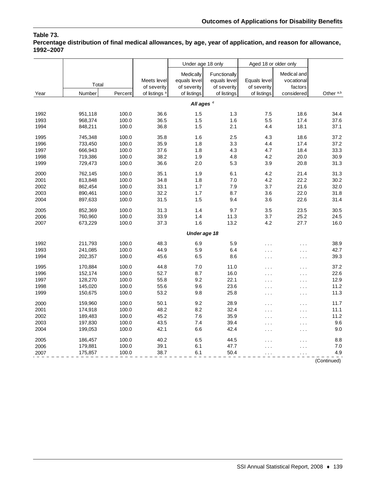## **Table 73.**

**Percentage distribution of final medical allowances, by age, year of application, and reason for allowance, 1992–2007**

|      |         |         |                          | Under age 18 only     |              | Aged 18 or older only |                      |                      |
|------|---------|---------|--------------------------|-----------------------|--------------|-----------------------|----------------------|----------------------|
|      |         |         |                          | Medically             | Functionally |                       | Medical and          |                      |
|      | Total   |         | Meets level              | equals level          | equals level | Equals level          | vocational           |                      |
|      |         |         | of severity              | of severity           | of severity  | of severity           | factors              |                      |
| Year | Number  | Percent | of listings <sup>a</sup> | of listings           | of listings  | of listings           | considered           | Other <sup>a,b</sup> |
|      |         |         |                          | All ages <sup>c</sup> |              |                       |                      |                      |
| 1992 | 951,118 | 100.0   | 36.6                     | 1.5                   | 1.3          | 7.5                   | 18.6                 | 34.4                 |
| 1993 | 968,374 | 100.0   | 36.5                     | 1.5                   | 1.6          | 5.5                   | 17.4                 | 37.6                 |
| 1994 | 848,211 | 100.0   | 36.8                     | 1.5                   | 2.1          | 4.4                   | 18.1                 | 37.1                 |
| 1995 | 745,348 | 100.0   | 35.8                     | 1.6                   | 2.5          | 4.3                   | 18.6                 | 37.2                 |
| 1996 | 733,450 | 100.0   | 35.9                     | 1.8                   | 3.3          | 4.4                   | 17.4                 | 37.2                 |
| 1997 | 666,943 | 100.0   | 37.6                     | 1.8                   | 4.3          | 4.7                   | 18.4                 | 33.3                 |
| 1998 | 719,386 | 100.0   | 38.2                     | 1.9                   | 4.8          | 4.2                   | 20.0                 | 30.9                 |
| 1999 | 729,473 | 100.0   | 36.6                     | 2.0                   | 5.3          | 3.9                   | 20.8                 | 31.3                 |
| 2000 | 762,145 | 100.0   | 35.1                     | 1.9                   | 6.1          | 4.2                   | 21.4                 | 31.3                 |
| 2001 | 813,848 | 100.0   | 34.8                     | 1.8                   | 7.0          | 4.2                   | 22.2                 | 30.2                 |
| 2002 | 862,454 | 100.0   | 33.1                     | 1.7                   | 7.9          | 3.7                   | 21.6                 | 32.0                 |
| 2003 | 890,461 | 100.0   | 32.2                     | 1.7                   | 8.7          | 3.6                   | 22.0                 | 31.8                 |
| 2004 | 897,633 | 100.0   | 31.5                     | 1.5                   | 9.4          | 3.6                   | 22.6                 | 31.4                 |
| 2005 | 852,369 | 100.0   | 31.3                     | 1.4                   | 9.7          | 3.5                   | 23.5                 | 30.5                 |
| 2006 | 760,960 | 100.0   | 33.9                     | 1.4                   | 11.3         | 3.7                   | 25.2                 | 24.5                 |
| 2007 | 673,229 | 100.0   | 37.3                     | 1.6                   | 13.2         | 4.2                   | 27.7                 | 16.0                 |
|      |         |         |                          | Under age 18          |              |                       |                      |                      |
| 1992 | 211,793 | 100.0   | 48.3                     | 6.9                   | 5.9          |                       | $\cdots$             | 38.9                 |
| 1993 | 241,085 | 100.0   | 44.9                     | 5.9                   | 6.4          | .                     | $\sim$ .             | 42.7                 |
| 1994 | 202,357 | 100.0   | 45.6                     | 6.5                   | 8.6          | .                     | $\sim$ $\sim$ $\sim$ | 39.3                 |
| 1995 | 170,884 | 100.0   | 44.8                     | 7.0                   | 11.0         | .                     | $\cdots$             | 37.2                 |
| 1996 | 152,174 | 100.0   | 52.7                     | 8.7                   | 16.0         | $\ddotsc$             | $\cdots$             | 22.6                 |
| 1997 | 128,270 | 100.0   | 55.8                     | 9.2                   | 22.1         | .                     | $\ddotsc$            | 12.9                 |
| 1998 | 145,020 | 100.0   | 55.6                     | 9.6                   | 23.6         | .                     | $\ddotsc$            | 11.2                 |
| 1999 | 150,675 | 100.0   | 53.2                     | 9.8                   | 25.8         | $\cdots$              | $\sim$ .             | 11.3                 |
| 2000 | 159,960 | 100.0   | 50.1                     | 9.2                   | 28.9         | .                     | $\sim$ $\sim$ $\sim$ | 11.7                 |
| 2001 | 174,918 | 100.0   | 48.2                     | 8.2                   | 32.4         | .                     | $\ddotsc$            | 11.1                 |
| 2002 | 189,483 | 100.0   | 45.2                     | 7.6                   | 35.9         | .                     | $\ddotsc$            | 11.2                 |
| 2003 | 197,830 | 100.0   | 43.5                     | 7.4                   | 39.4         | .                     | $\cdots$             | 9.6                  |
| 2004 | 199,053 | 100.0   | 42.1                     | 6.6                   | 42.4         | .                     | $\cdots$             | 9.0                  |
| 2005 | 186,457 | 100.0   | 40.2                     | 6.5                   | 44.5         | .                     | .                    | 8.8                  |
| 2006 | 179,881 | 100.0   | 39.1                     | 6.1                   | 47.7         | .                     | .                    | 7.0                  |
| 2007 | 175,857 | 100.0   | 38.7                     | 6.1                   | 50.4         |                       |                      | 4.9                  |
|      |         |         |                          |                       |              |                       |                      | (Continued)          |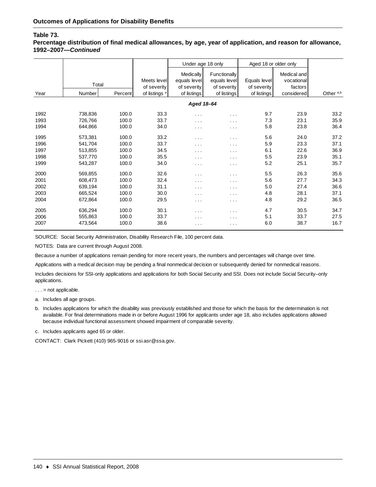#### **Table 73.**

**Percentage distribution of final medical allowances, by age, year of application, and reason for allowance, 1992–2007—***Continued*

|      |         |         |                            | Under age 18 only                               |                                             | Aged 18 or older only       |                                      |                      |
|------|---------|---------|----------------------------|-------------------------------------------------|---------------------------------------------|-----------------------------|--------------------------------------|----------------------|
|      | Total   |         | Meets level<br>of severity | <b>Medically</b><br>equals level<br>of severity | Functionally<br>equals level<br>of severity | Equals level<br>of severity | Medical and<br>vocational<br>factors |                      |
| Year | Number  | Percent | of listings <sup>a</sup>   | of listings                                     | of listings                                 | of listings                 | considered                           | Other <sup>a,b</sup> |
|      |         |         |                            | Aged 18-64                                      |                                             |                             |                                      |                      |
| 1992 | 738,836 | 100.0   | 33.3                       | $\sim$ $\sim$ $\sim$                            | $\sim$ $\sim$ $\sim$                        | 9.7                         | 23.9                                 | 33.2                 |
| 1993 | 726,766 | 100.0   | 33.7                       | $\cdots$                                        | $\sim$ $\sim$ $\sim$                        | 7.3                         | 23.1                                 | 35.9                 |
| 1994 | 644,866 | 100.0   | 34.0                       | $\sim 100$                                      | $\sim$ $\sim$ $\sim$                        | 5.8                         | 23.8                                 | 36.4                 |
| 1995 | 573,381 | 100.0   | 33.2                       | $\sim$ $\sim$ $\sim$                            | $\sim$ $\sim$ $\sim$                        | 5.6                         | 24.0                                 | 37.2                 |
| 1996 | 541,704 | 100.0   | 33.7                       | $\sim$ $\sim$ $\sim$                            | $\sim$ $\sim$                               | 5.9                         | 23.3                                 | 37.1                 |
| 1997 | 513,855 | 100.0   | 34.5                       | $\cdots$                                        | $\sim$ $\sim$ $\sim$                        | 6.1                         | 22.6                                 | 36.9                 |
| 1998 | 537,770 | 100.0   | 35.5                       | $\sim$ $\sim$ $\sim$                            | $\cdots$                                    | 5.5                         | 23.9                                 | 35.1                 |
| 1999 | 543,287 | 100.0   | 34.0                       | $\cdots$                                        | $\cdots$                                    | 5.2                         | 25.1                                 | 35.7                 |
| 2000 | 569,855 | 100.0   | 32.6                       | $\sim$ $\sim$ $\sim$                            | $\sim 100$                                  | 5.5                         | 26.3                                 | 35.6                 |
| 2001 | 608,473 | 100.0   | 32.4                       | $\sim$ $\sim$ $\sim$                            | $\sim$ $\sim$ $\sim$                        | 5.6                         | 27.7                                 | 34.3                 |
| 2002 | 639,194 | 100.0   | 31.1                       | $\sim$ $\sim$ $\sim$                            | $\cdots$                                    | 5.0                         | 27.4                                 | 36.6                 |
| 2003 | 665,524 | 100.0   | 30.0                       | $\cdots$                                        | $\cdots$                                    | 4.8                         | 28.1                                 | 37.1                 |
| 2004 | 672,864 | 100.0   | 29.5                       | $\sim$ $\sim$ $\sim$                            | $\sim 100$                                  | 4.8                         | 29.2                                 | 36.5                 |
| 2005 | 636,294 | 100.0   | 30.1                       | $\cdots$                                        | $\cdots$                                    | 4.7                         | 30.5                                 | 34.7                 |
| 2006 | 555,863 | 100.0   | 33.7                       | $\cdots$                                        | $\cdots$                                    | 5.1                         | 33.7                                 | 27.5                 |
| 2007 | 473,564 | 100.0   | 38.6                       | $\sim$ $\sim$ $\sim$                            | $\cdots$                                    | 6.0                         | 38.7                                 | 16.7                 |

SOURCE: Social Security Administration, Disability Research File, 100 percent data.

NOTES: Data are current through August 2008.

Because a number of applications remain pending for more recent years, the numbers and percentages will change over time.

Applications with a medical decision may be pending a final nonmedical decision or subsequently denied for nonmedical reasons.

Includes decisions for SSI-only applications and applications for both Social Security and SSI. Does not include Social Security–only applications.

 $\ldots$  = not applicable.

- a. Includes all age groups.
- b. Includes applications for which the disability was previously established and those for which the basis for the determination is not available. For final determinations made in or before August 1996 for applicants under age 18, also includes applications allowed because individual functional assessment showed impairment of comparable severity.

c. Includes applicants aged 65 or older.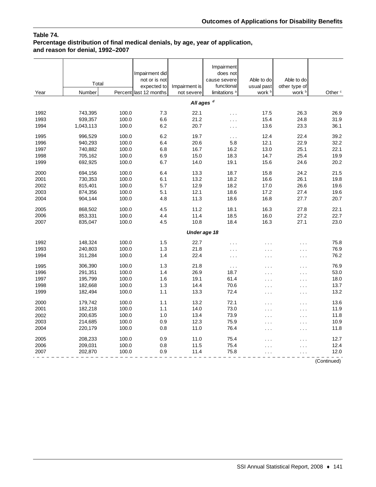## **Table 74.**

## **Percentage distribution of final medical denials, by age, year of application, and reason for denial, 1992–2007**

| usual past<br>other type of                                                                  | work <sup>b</sup><br>Other <sup>c</sup> |
|----------------------------------------------------------------------------------------------|-----------------------------------------|
| work b<br>Number<br>Year<br>Percent last 12 months<br>not severe<br>limitations <sup>a</sup> |                                         |
| All ages <sup>d</sup>                                                                        |                                         |
| 1992<br>100.0<br>7.3<br>22.1<br>743,395<br>17.5                                              | 26.3<br>26.9                            |
| 1993<br>6.6<br>939,357<br>100.0<br>21.2<br>15.4<br>$\sim$ .                                  | 24.8<br>31.9                            |
| 1994<br>100.0<br>6.2<br>20.7<br>1,043,113<br>13.6<br>$\cdots$                                | 23.3<br>36.1                            |
| 1995<br>996.529<br>100.0<br>6.2<br>19.7<br>12.4<br>$\cdots$                                  | 39.2<br>22.4                            |
| 1996<br>100.0<br>6.4<br>20.6<br>5.8<br>12.1<br>940,293                                       | 22.9<br>32.2                            |
| 6.8<br>1997<br>100.0<br>16.7<br>16.2<br>13.0<br>740,882                                      | 25.1<br>22.1                            |
| 1998<br>705,162<br>100.0<br>6.9<br>15.0<br>18.3<br>14.7                                      | 25.4<br>19.9                            |
| 1999<br>100.0<br>6.7<br>14.0<br>19.1<br>15.6<br>692,925                                      | 20.2<br>24.6                            |
| 13.3<br>2000<br>694,156<br>100.0<br>6.4<br>18.7<br>15.8                                      | 24.2<br>21.5                            |
| 6.1<br>13.2<br>18.2<br>2001<br>730,353<br>100.0<br>16.6                                      | 26.1<br>19.8                            |
| 12.9<br>18.2<br>2002<br>815,401<br>100.0<br>5.7<br>17.0                                      | 19.6<br>26.6                            |
| 12.1<br>2003<br>874,356<br>100.0<br>5.1<br>18.6<br>17.2                                      | 27.4<br>19.6                            |
| 4.8<br>11.3<br>16.8<br>2004<br>100.0<br>18.6<br>904,144                                      | 27.7<br>20.7                            |
| 4.5<br>11.2<br>2005<br>868,502<br>100.0<br>18.1<br>16.3                                      | 22.1<br>27.8                            |
| 2006<br>4.4<br>11.4<br>18.5<br>853,331<br>100.0<br>16.0                                      | 22.7<br>27.2                            |
| 2007<br>100.0<br>4.5<br>10.8<br>18.4<br>16.3<br>835,047                                      | 27.1<br>23.0                            |
| Under age 18                                                                                 |                                         |
| 1992<br>1.5<br>22.7<br>148,324<br>100.0<br>.<br>.                                            | 75.8<br>$\sim$ $\sim$ $\sim$            |
| 100.0<br>1.3<br>1993<br>240,803<br>21.8<br>$\cdots$<br>$\cdots$                              | 76.9<br>$\cdots$                        |
| 100.0<br>1.4<br>1994<br>311,284<br>22.4<br>$\sim$ $\sim$ $\sim$<br>$\sim$                    | 76.2<br>$\sim$ $\sim$                   |
|                                                                                              |                                         |
| 21.8<br>306,390<br>100.0<br>1.3<br>1995<br>$\ldots$<br>.<br>100.0<br>1.4                     | 76.9<br>$\sim$ $\sim$ $\sim$            |
| 26.9<br>1996<br>291,351<br>18.7<br>.<br>100.0                                                | 53.0<br>$\sim$ $\sim$ $\sim$            |
| 1997<br>1.6<br>19.1<br>61.4<br>195,799<br>.<br>1998<br>100.0<br>14.4                         | 18.0<br>$\sim$ $\sim$ $\sim$            |
| 182,668<br>1.3<br>70.6<br>$\cdots$<br>1.1<br>13.3<br>72.4<br>182,494<br>100.0                | 13.7<br>$\sim$ $\sim$ $\sim$<br>13.2    |
| 1999<br>$\cdots$                                                                             | $\sim$ $\sim$ $\sim$                    |
| 1.1<br>2000<br>179,742<br>100.0<br>13.2<br>72.1<br>والمراد                                   | 13.6<br>$\sim$ $\sim$ $\sim$            |
| 100.0<br>1.1<br>14.0<br>73.0<br>2001<br>182,218<br>.                                         | 11.9<br>$\sim$ $\sim$                   |
| 100.0<br>1.0<br>13.4<br>73.9<br>2002<br>200,635<br>$\cdots$                                  | 11.8<br>$\sim$ $\sim$ $\sim$            |
| 0.9<br>12.3<br>2003<br>214,685<br>100.0<br>75.9<br>والمراد                                   | 10.9<br>$\sim$ $\sim$ $\sim$            |
| 2004<br>100.0<br>0.8<br>11.0<br>76.4<br>220,179<br>$\cdots$                                  | 11.8<br>$\sim$ $\sim$ $\sim$            |
| 0.9<br>208,233<br>100.0<br>11.0<br>75.4<br>2005<br>.                                         | 12.7<br>$\cdots$                        |
| 0.8<br>11.5<br>75.4<br>2006<br>209,031<br>100.0<br>.                                         | 12.4<br>$\sim$ $\sim$                   |
| 2007<br>0.9<br>11.4<br>75.8<br>202,870<br>100.0<br>$\cdots$                                  | 12.0<br>$\sim$ $\sim$                   |

(Continued)